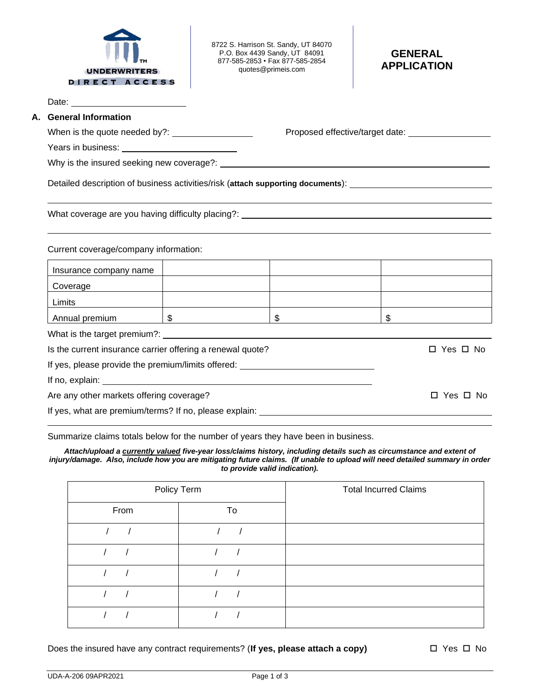

8722 S. Harrison St. Sandy, UT 84070 P.O. Box 4439 Sandy, UT 84091 877-585-2853 • Fax 877-585-2854 quotes@primeis.com

## **GENERAL APPLICATION**

Date: \_

## **A. General Information**

When is the quote needed by?: Proposed effective/target date:

Years in business:

Why is the insured seeking new coverage?:

Detailed description of business activities/risk (**attach supporting documents**):

What coverage are you having difficulty placing?: \_\_\_\_\_\_\_\_\_\_\_\_\_\_\_\_\_\_\_\_\_\_\_\_\_\_\_\_\_\_\_

Current coverage/company information:

| Insurance company name                                     |  |            |  |            |  |  |  |
|------------------------------------------------------------|--|------------|--|------------|--|--|--|
| Coverage                                                   |  |            |  |            |  |  |  |
| Limits                                                     |  |            |  |            |  |  |  |
| Annual premium                                             |  | \$.        |  |            |  |  |  |
| What is the target premium?: _____                         |  |            |  |            |  |  |  |
| Is the current insurance carrier offering a renewal quote? |  | □ Yes □ No |  |            |  |  |  |
| If yes, please provide the premium/limits offered:         |  |            |  |            |  |  |  |
|                                                            |  |            |  |            |  |  |  |
| Are any other markets offering coverage?                   |  |            |  | □ Yes □ No |  |  |  |
| If yes, what are premium/terms? If no, please explain:     |  |            |  |            |  |  |  |

Summarize claims totals below for the number of years they have been in business.

*Attach/upload a currently valued five-year loss/claims history, including details such as circumstance and extent of*  injury/damage. Also, include how you are mitigating future claims. (If unable to upload will need detailed summary in order *to provide valid indication).*

| Policy Term |    | <b>Total Incurred Claims</b> |
|-------------|----|------------------------------|
| From        | To |                              |
|             |    |                              |
|             |    |                              |
|             |    |                              |
|             |    |                              |
|             |    |                              |

Does the insured have any contract requirements? (**If yes, please attach a copy)**  $\square$  Yes  $\square$  No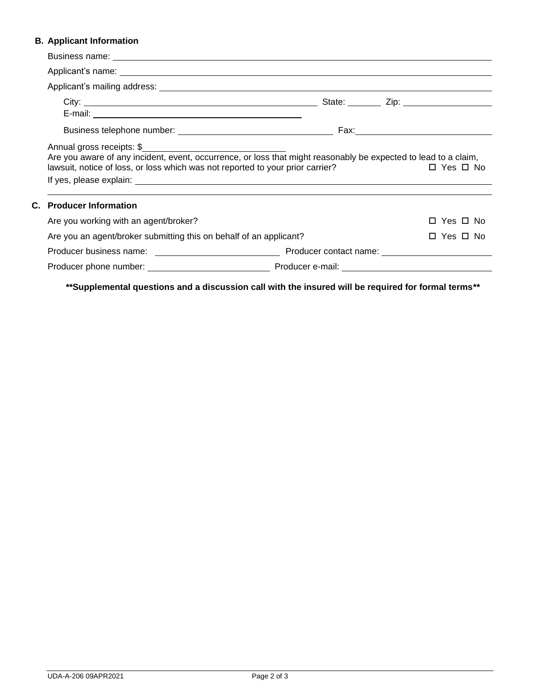## **B. Applicant Information**

| Applicant's name: experience and a series of the series of the series of the series of the series of the series of the series of the series of the series of the series of the series of the series of the series of the serie               |  |            |  |
|----------------------------------------------------------------------------------------------------------------------------------------------------------------------------------------------------------------------------------------------|--|------------|--|
|                                                                                                                                                                                                                                              |  |            |  |
|                                                                                                                                                                                                                                              |  |            |  |
|                                                                                                                                                                                                                                              |  |            |  |
| Annual gross receipts: \$<br>Are you aware of any incident, event, occurrence, or loss that might reasonably be expected to lead to a claim,<br>lawsuit, notice of loss, or loss which was not reported to your prior carrier?<br>□ Yes □ No |  |            |  |
| <b>C.</b> Producer Information                                                                                                                                                                                                               |  |            |  |
| Are you working with an agent/broker?                                                                                                                                                                                                        |  | □ Yes □ No |  |
| Are you an agent/broker submitting this on behalf of an applicant?                                                                                                                                                                           |  | □ Yes □ No |  |
|                                                                                                                                                                                                                                              |  |            |  |
|                                                                                                                                                                                                                                              |  |            |  |

**\*\*Supplemental questions and a discussion call with the insured will be required for formal terms\*\***